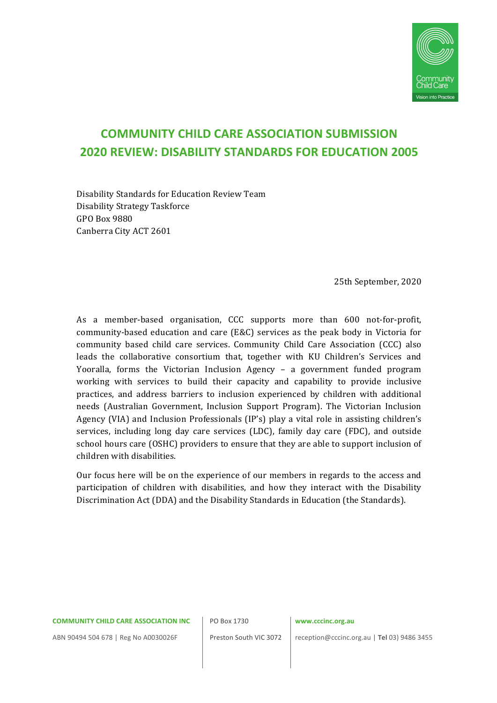

# **COMMUNITY CHILD CARE ASSOCIATION SUBMISSION 2020 REVIEW: DISABILITY STANDARDS FOR EDUCATION 2005**

Disability Standards for Education Review Team Disability Strategy Taskforce GPO Box 9880 Canberra City ACT 2601

25th September, 2020

As a member-based organisation, CCC supports more than 600 not-for-profit, community-based education and care (E&C) services as the peak body in Victoria for community based child care services. Community Child Care Association (CCC) also leads the collaborative consortium that, together with KU Children's Services and Yooralla, forms the Victorian Inclusion Agency - a government funded program working with services to build their capacity and capability to provide inclusive practices, and address barriers to inclusion experienced by children with additional needs (Australian Government, Inclusion Support Program). The Victorian Inclusion Agency (VIA) and Inclusion Professionals  $(IP's)$  play a vital role in assisting children's services, including long day care services (LDC), family day care (FDC), and outside school hours care (OSHC) providers to ensure that they are able to support inclusion of children with disabilities.

Our focus here will be on the experience of our members in regards to the access and participation of children with disabilities, and how they interact with the Disability Discrimination Act (DDA) and the Disability Standards in Education (the Standards).

#### **COMMUNITY CHILD CARE ASSOCIATION INC**

PO Box 1730

### **www.cccinc.org.au**

ABN 90494 504 678 | Reg No A0030026F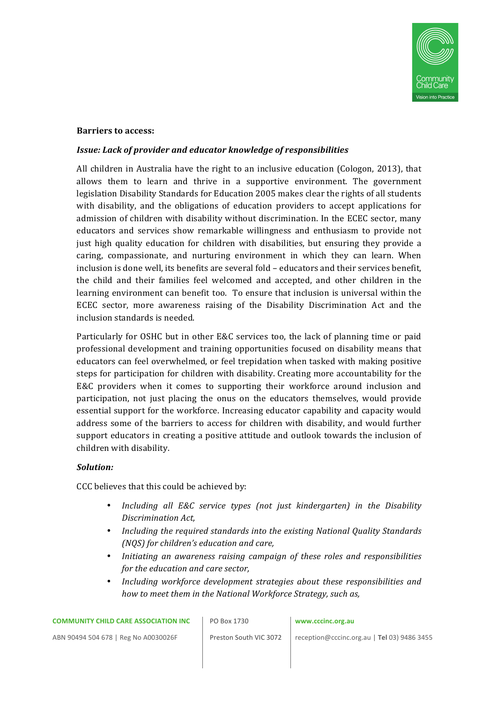

### **Barriers to access:**

### **Issue:** Lack of provider and educator knowledge of responsibilities

All children in Australia have the right to an inclusive education (Cologon, 2013), that allows them to learn and thrive in a supportive environment. The government legislation Disability Standards for Education 2005 makes clear the rights of all students with disability, and the obligations of education providers to accept applications for admission of children with disability without discrimination. In the ECEC sector, many educators and services show remarkable willingness and enthusiasm to provide not just high quality education for children with disabilities, but ensuring they provide a caring, compassionate, and nurturing environment in which they can learn. When inclusion is done well, its benefits are several fold - educators and their services benefit, the child and their families feel welcomed and accepted, and other children in the learning environment can benefit too. To ensure that inclusion is universal within the ECEC sector, more awareness raising of the Disability Discrimination Act and the inclusion standards is needed.

Particularly for OSHC but in other E&C services too, the lack of planning time or paid professional development and training opportunities focused on disability means that educators can feel overwhelmed, or feel trepidation when tasked with making positive steps for participation for children with disability. Creating more accountability for the E&C providers when it comes to supporting their workforce around inclusion and participation, not just placing the onus on the educators themselves, would provide essential support for the workforce. Increasing educator capability and capacity would address some of the barriers to access for children with disability, and would further support educators in creating a positive attitude and outlook towards the inclusion of children with disability.

### *Solution:*

CCC believes that this could be achieved by:

- Including all *E&C* service types (not just kindergarten) in the Disability *Discrimination Act,*
- Including the required standards into the existing National Quality Standards *(NQS)* for children's education and care,
- Initiating an awareness raising campaign of these roles and responsibilities *for the education and care sector,*
- Including workforce development strategies about these responsibilities and *how to meet them in the National Workforce Strategy, such as,*

PO Box 1730

### **www.cccinc.org.au**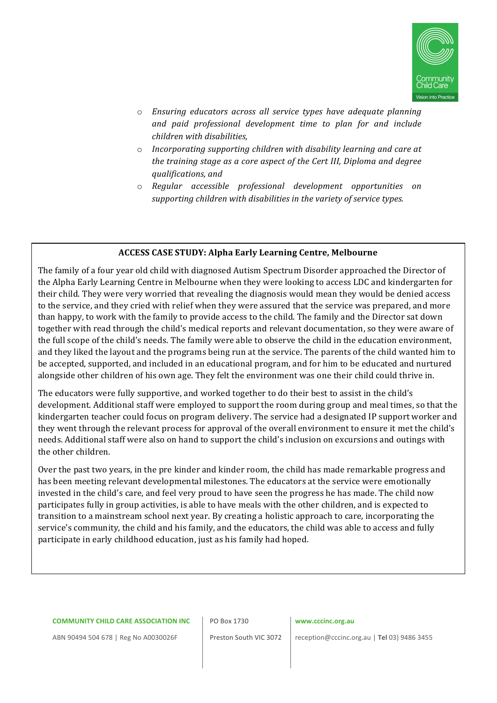

- $\circ$  *Ensuring educators across all service types have adequate planning and paid professional development time to plan for and include children with disabilities,*
- o *Incorporating supporting children with disability learning and care at the training stage as a core aspect of the Cert III, Diploma and degree qualifications, and*
- o *Regular accessible professional development opportunities on*  supporting children with disabilities in the variety of service types.

# **ACCESS CASE STUDY: Alpha Early Learning Centre, Melbourne**

The family of a four year old child with diagnosed Autism Spectrum Disorder approached the Director of the Alpha Early Learning Centre in Melbourne when they were looking to access LDC and kindergarten for their child. They were very worried that revealing the diagnosis would mean they would be denied access to the service, and they cried with relief when they were assured that the service was prepared, and more than happy, to work with the family to provide access to the child. The family and the Director sat down together with read through the child's medical reports and relevant documentation, so they were aware of the full scope of the child's needs. The family were able to observe the child in the education environment, and they liked the layout and the programs being run at the service. The parents of the child wanted him to be accepted, supported, and included in an educational program, and for him to be educated and nurtured alongside other children of his own age. They felt the environment was one their child could thrive in.

The educators were fully supportive, and worked together to do their best to assist in the child's development. Additional staff were employed to support the room during group and meal times, so that the kindergarten teacher could focus on program delivery. The service had a designated IP support worker and they went through the relevant process for approval of the overall environment to ensure it met the child's needs. Additional staff were also on hand to support the child's inclusion on excursions and outings with the other children.

Over the past two years, in the pre kinder and kinder room, the child has made remarkable progress and has been meeting relevant developmental milestones. The educators at the service were emotionally invested in the child's care, and feel very proud to have seen the progress he has made. The child now participates fully in group activities, is able to have meals with the other children, and is expected to transition to a mainstream school next year. By creating a holistic approach to care, incorporating the service's community, the child and his family, and the educators, the child was able to access and fully participate in early childhood education, just as his family had hoped.

#### **COMMUNITY CHILD CARE ASSOCIATION INC**

PO Box 1730

### **www.cccinc.org.au**

ABN 90494 504 678 | Reg No A0030026F

Preston South VIC 3072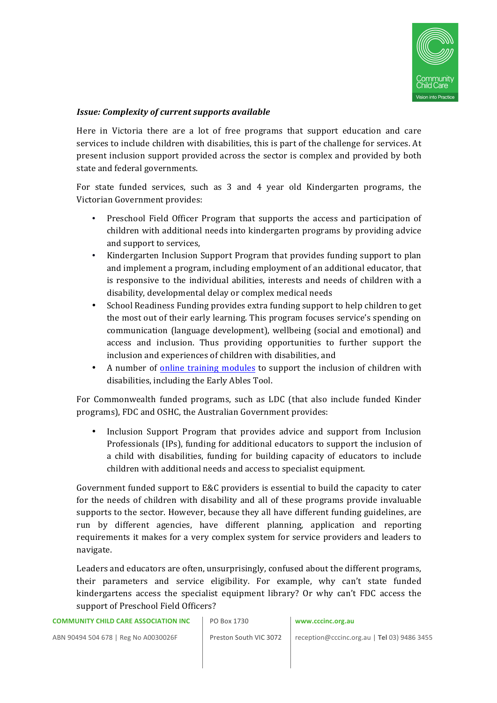

# *Issue: Complexity of current supports available*

Here in Victoria there are a lot of free programs that support education and care services to include children with disabilities, this is part of the challenge for services. At present inclusion support provided across the sector is complex and provided by both state and federal governments.

For state funded services, such as  $3$  and  $4$  year old Kindergarten programs, the Victorian Government provides:

- Preschool Field Officer Program that supports the access and participation of children with additional needs into kindergarten programs by providing advice and support to services.
- Kindergarten Inclusion Support Program that provides funding support to plan and implement a program, including employment of an additional educator, that is responsive to the individual abilities, interests and needs of children with a disability, developmental delay or complex medical needs
- School Readiness Funding provides extra funding support to help children to get the most out of their early learning. This program focuses service's spending on communication (language development), wellbeing (social and emotional) and access and inclusion. Thus providing opportunities to further support the inclusion and experiences of children with disabilities, and
- A number of online training modules to support the inclusion of children with disabilities, including the Early Ables Tool.

For Commonwealth funded programs, such as LDC (that also include funded Kinder programs), FDC and OSHC, the Australian Government provides:

• Inclusion Support Program that provides advice and support from Inclusion Professionals (IPs), funding for additional educators to support the inclusion of a child with disabilities, funding for building capacity of educators to include children with additional needs and access to specialist equipment.

Government funded support to E&C providers is essential to build the capacity to cater for the needs of children with disability and all of these programs provide invaluable supports to the sector. However, because they all have different funding guidelines, are run by different agencies, have different planning, application and reporting requirements it makes for a very complex system for service providers and leaders to navigate. 

Leaders and educators are often, unsurprisingly, confused about the different programs, their parameters and service eligibility. For example, why can't state funded kindergartens access the specialist equipment library? Or why can't FDC access the support of Preschool Field Officers?

### PO Box 1730

#### **www.cccinc.org.au**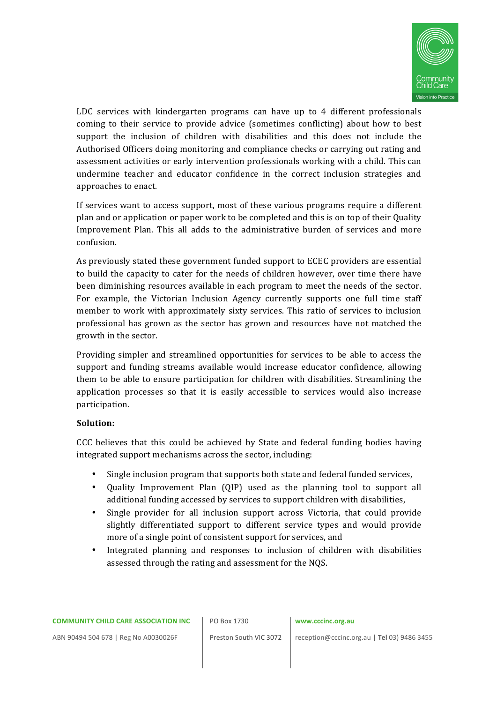

LDC services with kindergarten programs can have up to  $4$  different professionals coming to their service to provide advice (sometimes conflicting) about how to best support the inclusion of children with disabilities and this does not include the Authorised Officers doing monitoring and compliance checks or carrying out rating and assessment activities or early intervention professionals working with a child. This can undermine teacher and educator confidence in the correct inclusion strategies and approaches to enact.

If services want to access support, most of these various programs require a different plan and or application or paper work to be completed and this is on top of their Quality Improvement Plan. This all adds to the administrative burden of services and more confusion. 

As previously stated these government funded support to ECEC providers are essential to build the capacity to cater for the needs of children however, over time there have been diminishing resources available in each program to meet the needs of the sector. For example, the Victorian Inclusion Agency currently supports one full time staff member to work with approximately sixty services. This ratio of services to inclusion professional has grown as the sector has grown and resources have not matched the growth in the sector.

Providing simpler and streamlined opportunities for services to be able to access the support and funding streams available would increase educator confidence, allowing them to be able to ensure participation for children with disabilities. Streamlining the application processes so that it is easily accessible to services would also increase participation.

### **Solution:**

CCC believes that this could be achieved by State and federal funding bodies having integrated support mechanisms across the sector, including:

- Single inclusion program that supports both state and federal funded services,
- Quality Improvement Plan (QIP) used as the planning tool to support all additional funding accessed by services to support children with disabilities,
- Single provider for all inclusion support across Victoria, that could provide slightly differentiated support to different service types and would provide more of a single point of consistent support for services, and
- Integrated planning and responses to inclusion of children with disabilities assessed through the rating and assessment for the NQS.

PO Box 1730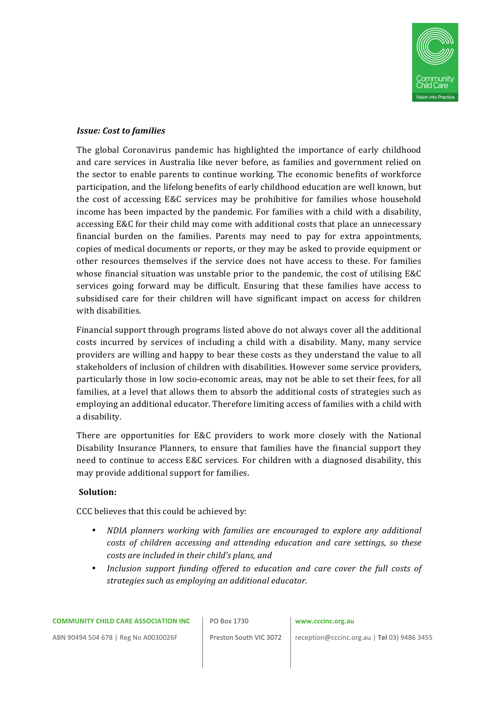

# *Issue: Cost to families*

The global Coronavirus pandemic has highlighted the importance of early childhood and care services in Australia like never before, as families and government relied on the sector to enable parents to continue working. The economic benefits of workforce participation, and the lifelong benefits of early childhood education are well known, but the cost of accessing E&C services may be prohibitive for families whose household income has been impacted by the pandemic. For families with a child with a disability, accessing E&C for their child may come with additional costs that place an unnecessary financial burden on the families. Parents may need to pay for extra appointments, copies of medical documents or reports, or they may be asked to provide equipment or other resources themselves if the service does not have access to these. For families whose financial situation was unstable prior to the pandemic, the cost of utilising  $E&C$ services going forward may be difficult. Ensuring that these families have access to subsidised care for their children will have significant impact on access for children with disabilities.

Financial support through programs listed above do not always cover all the additional costs incurred by services of including a child with a disability. Many, many service providers are willing and happy to bear these costs as they understand the value to all stakeholders of inclusion of children with disabilities. However some service providers, particularly those in low socio-economic areas, may not be able to set their fees, for all families, at a level that allows them to absorb the additional costs of strategies such as employing an additional educator. Therefore limiting access of families with a child with a disability.

There are opportunities for E&C providers to work more closely with the National Disability Insurance Planners, to ensure that families have the financial support they need to continue to access E&C services. For children with a diagnosed disability, this may provide additional support for families.

### **Solution:**

CCC believes that this could be achieved by:

- *NDIA planners working with families are encouraged to explore any additional costs of children accessing and attending education and care settings, so these costs are included in their child's plans, and*
- Inclusion support funding offered to education and care cover the full costs of *strategies such as emploving an additional educator.*

PO Box 1730

#### **www.cccinc.org.au**

ABN 90494 504 678 | Reg No A0030026F

Preston South VIC 3072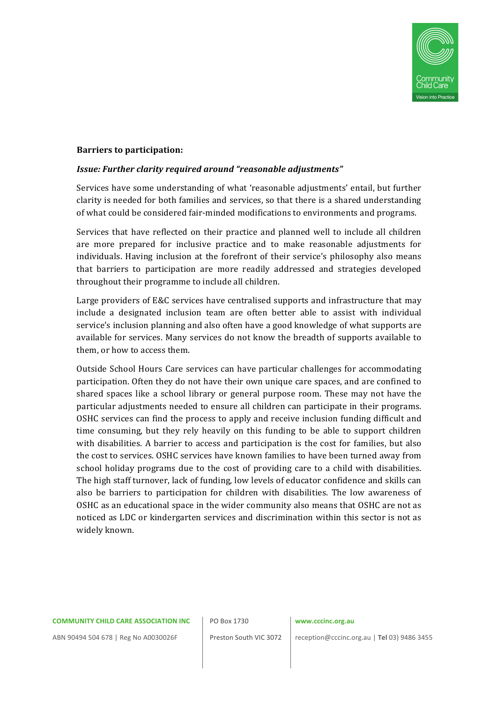

### **Barriers to participation:**

### **Issue: Further clarity required around "reasonable adjustments"**

Services have some understanding of what 'reasonable adjustments' entail, but further clarity is needed for both families and services, so that there is a shared understanding of what could be considered fair-minded modifications to environments and programs.

Services that have reflected on their practice and planned well to include all children are more prepared for inclusive practice and to make reasonable adjustments for individuals. Having inclusion at the forefront of their service's philosophy also means that barriers to participation are more readily addressed and strategies developed throughout their programme to include all children.

Large providers of E&C services have centralised supports and infrastructure that may include a designated inclusion team are often better able to assist with individual service's inclusion planning and also often have a good knowledge of what supports are available for services. Many services do not know the breadth of supports available to them, or how to access them.

Outside School Hours Care services can have particular challenges for accommodating participation. Often they do not have their own unique care spaces, and are confined to shared spaces like a school library or general purpose room. These may not have the particular adjustments needed to ensure all children can participate in their programs. OSHC services can find the process to apply and receive inclusion funding difficult and time consuming, but they rely heavily on this funding to be able to support children with disabilities. A barrier to access and participation is the cost for families, but also the cost to services. OSHC services have known families to have been turned away from school holiday programs due to the cost of providing care to a child with disabilities. The high staff turnover, lack of funding, low levels of educator confidence and skills can also be barriers to participation for children with disabilities. The low awareness of OSHC as an educational space in the wider community also means that OSHC are not as noticed as LDC or kindergarten services and discrimination within this sector is not as widely known.

#### **COMMUNITY CHILD CARE ASSOCIATION INC**

PO Box 1730

### **www.cccinc.org.au**

ABN 90494 504 678 | Reg No A0030026F

Preston South VIC 3072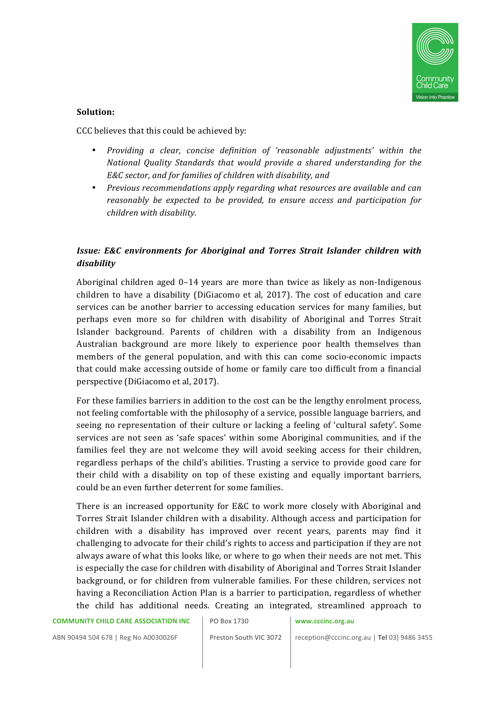

# **Solution:**

CCC believes that this could be achieved by:

- *Providing a clear, concise definition of 'reasonable adjustments' within the National Quality Standards that would provide a shared understanding for the E&C sector, and for families of children with disability, and*
- *Previous recommendations apply regarding what resources are available and can reasonably be expected to be provided, to ensure access and participation for children with disability.*

# *Issue: E&C* environments for Aboriginal and Torres Strait Islander children with *disability*

Aboriginal children aged  $0-14$  years are more than twice as likely as non-Indigenous children to have a disability (DiGiacomo et al,  $2017$ ). The cost of education and care services can be another barrier to accessing education services for many families, but perhaps even more so for children with disability of Aboriginal and Torres Strait Islander background. Parents of children with a disability from an Indigenous Australian background are more likely to experience poor health themselves than members of the general population, and with this can come socio-economic impacts that could make accessing outside of home or family care too difficult from a financial perspective (DiGiacomo et al, 2017).

For these families barriers in addition to the cost can be the lengthy enrolment process, not feeling comfortable with the philosophy of a service, possible language barriers, and seeing no representation of their culture or lacking a feeling of 'cultural safety'. Some services are not seen as 'safe spaces' within some Aboriginal communities, and if the families feel they are not welcome they will avoid seeking access for their children, regardless perhaps of the child's abilities. Trusting a service to provide good care for their child with a disability on top of these existing and equally important barriers, could be an even further deterrent for some families.

There is an increased opportunity for  $E&C$  to work more closely with Aboriginal and Torres Strait Islander children with a disability. Although access and participation for children with a disability has improved over recent years, parents may find it challenging to advocate for their child's rights to access and participation if they are not always aware of what this looks like, or where to go when their needs are not met. This is especially the case for children with disability of Aboriginal and Torres Strait Islander background, or for children from vulnerable families. For these children, services not having a Reconciliation Action Plan is a barrier to participation, regardless of whether the child has additional needs. Creating an integrated, streamlined approach to

PO Box 1730

**www.cccinc.org.au**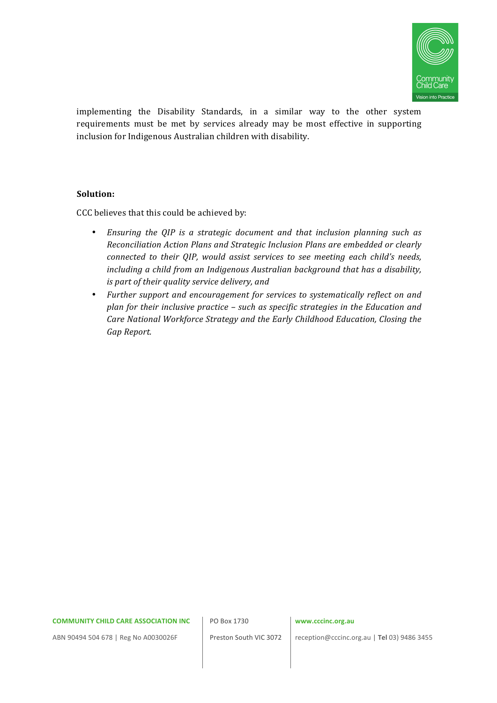

implementing the Disability Standards, in a similar way to the other system requirements must be met by services already may be most effective in supporting inclusion for Indigenous Australian children with disability.

# **Solution:**

CCC believes that this could be achieved by:

- Ensuring the QIP is a strategic document and that inclusion planning such as *Reconciliation Action Plans and Strategic Inclusion Plans are embedded or clearly connected to their QIP, would assist services to see meeting each child's needs, including a child from an Indigenous Australian background that has a disability, is part of their quality service delivery, and*
- *Further support and encouragement for services to systematically reflect on and plan for their inclusive practice – such as specific strategies in the Education and Care National Workforce Strategy and the Early Childhood Education, Closing the Gap Report.*

#### **COMMUNITY CHILD CARE ASSOCIATION INC**

PO Box 1730

### **www.cccinc.org.au**

ABN 90494 504 678 | Reg No A0030026F

Preston South VIC 3072